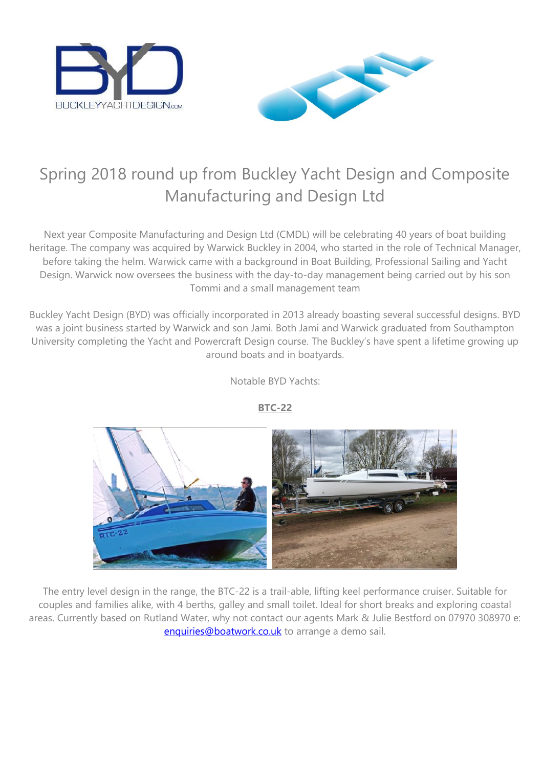



# Spring 2018 round up from Buckley Yacht Design and Composite Manufacturing and Design Ltd

Next year Composite Manufacturing and Design Ltd (CMDL) will be celebrating 40 years of boat building heritage. The company was acquired by Warwick Buckley in 2004, who started in the role of Technical Manager, before taking the helm. Warwick came with a background in Boat Building, Professional Sailing and Yacht Design. Warwick now oversees the business with the day-to-day management being carried out by his son Tommi and a small management team

Buckley Yacht Design (BYD) was officially incorporated in 2013 already boasting several successful designs. BYD was a joint business started by Warwick and son Jami. Both Jami and Warwick graduated from Southampton University completing the Yacht and Powercraft Design course. The Buckley's have spent a lifetime growing up around boats and in boatyards.

Notable BYD Yachts:



**BTC-22**

The entry level design in the range, the BTC-22 is a trail-able, lifting keel performance cruiser. Suitable for couples and families alike, with 4 berths, galley and small toilet. Ideal for short breaks and exploring coastal areas. Currently based on Rutland Water, why not contact our agents Mark & Julie Bestford on 07970 308970 e: [enquiries@boatwork.co.uk](mailto:enquiries@boatwork.co.uk) to arrange a demo sail.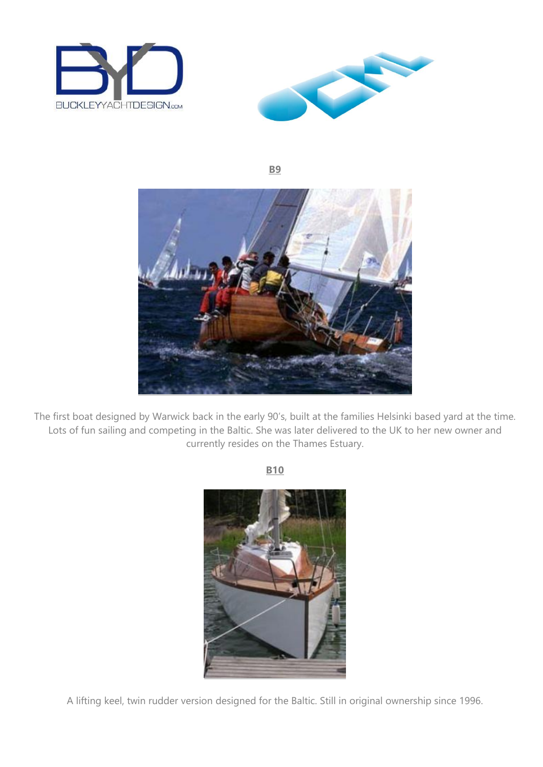



**B9**



The first boat designed by Warwick back in the early 90's, built at the families Helsinki based yard at the time. Lots of fun sailing and competing in the Baltic. She was later delivered to the UK to her new owner and currently resides on the Thames Estuary.

**B10** 



A lifting keel, twin rudder version designed for the Baltic. Still in original ownership since 1996.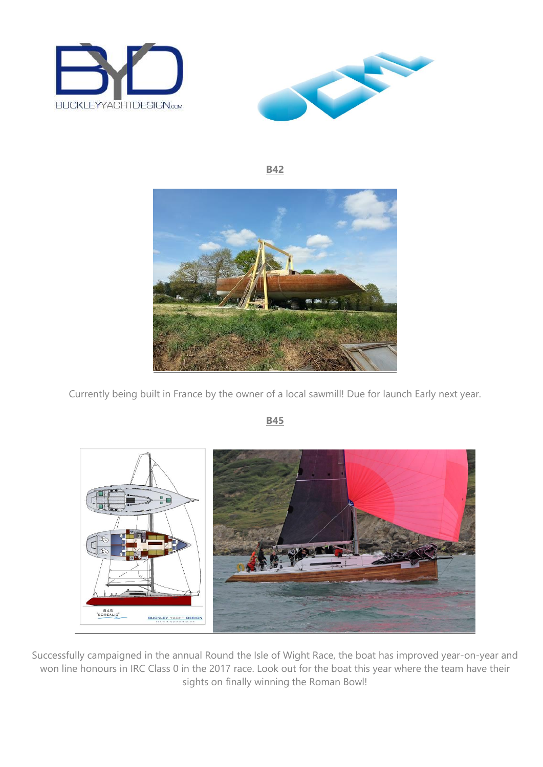



**B42**



Currently being built in France by the owner of a local sawmill! Due for launch Early next year.



**B45**

Successfully campaigned in the annual Round the Isle of Wight Race, the boat has improved year-on-year and won line honours in IRC Class 0 in the 2017 race. Look out for the boat this year where the team have their sights on finally winning the Roman Bowl!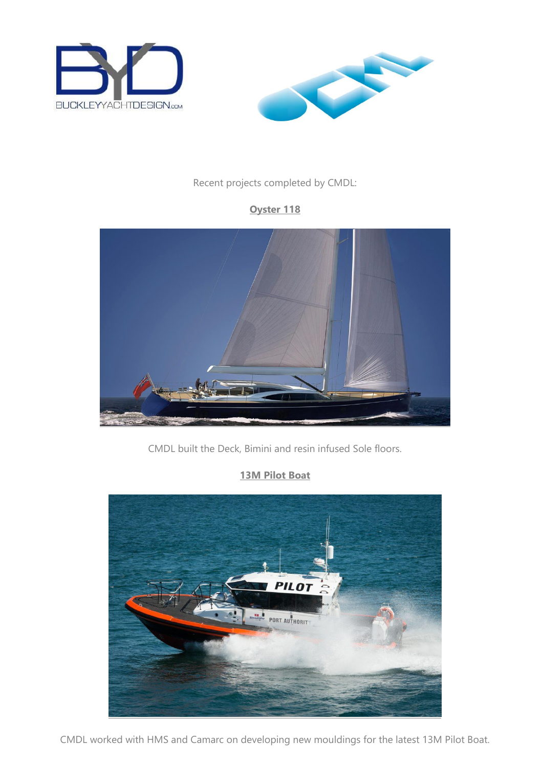



#### Recent projects completed by CMDL:

### **Oyster 118**



CMDL built the Deck, Bimini and resin infused Sole floors.

### **13M Pilot Boat**



CMDL worked with HMS and Camarc on developing new mouldings for the latest 13M Pilot Boat.